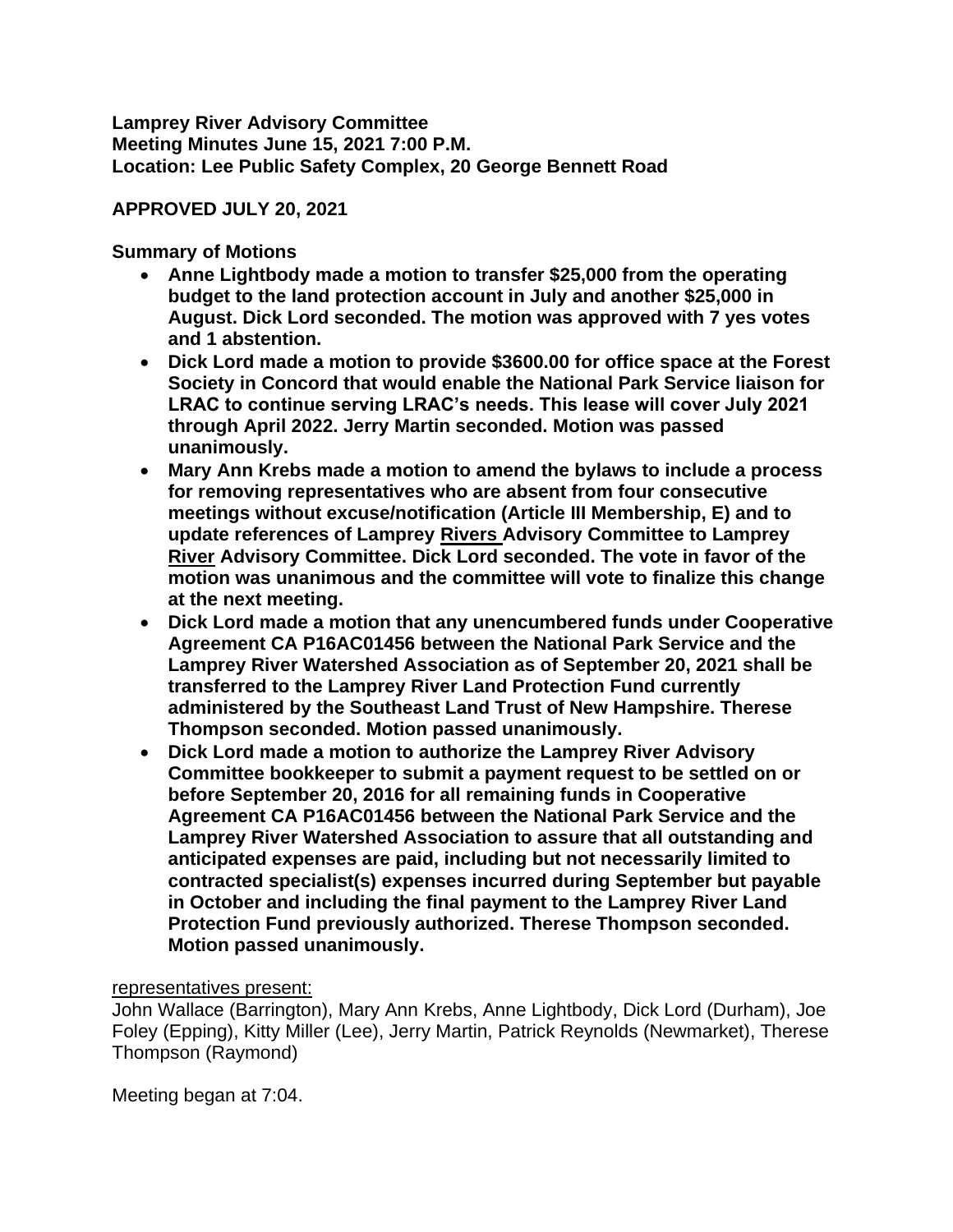**Lamprey River Advisory Committee Meeting Minutes June 15, 2021 7:00 P.M. Location: Lee Public Safety Complex, 20 George Bennett Road**

# **APPROVED JULY 20, 2021**

**Summary of Motions**

- **Anne Lightbody made a motion to transfer \$25,000 from the operating budget to the land protection account in July and another \$25,000 in August. Dick Lord seconded. The motion was approved with 7 yes votes and 1 abstention.**
- **Dick Lord made a motion to provide \$3600.00 for office space at the Forest Society in Concord that would enable the National Park Service liaison for LRAC to continue serving LRAC's needs. This lease will cover July 2021 through April 2022. Jerry Martin seconded. Motion was passed unanimously.**
- **Mary Ann Krebs made a motion to amend the bylaws to include a process for removing representatives who are absent from four consecutive meetings without excuse/notification (Article III Membership, E) and to update references of Lamprey Rivers Advisory Committee to Lamprey River Advisory Committee. Dick Lord seconded. The vote in favor of the motion was unanimous and the committee will vote to finalize this change at the next meeting.**
- **Dick Lord made a motion that any unencumbered funds under Cooperative Agreement CA P16AC01456 between the National Park Service and the Lamprey River Watershed Association as of September 20, 2021 shall be transferred to the Lamprey River Land Protection Fund currently administered by the Southeast Land Trust of New Hampshire. Therese Thompson seconded. Motion passed unanimously.**
- **Dick Lord made a motion to authorize the Lamprey River Advisory Committee bookkeeper to submit a payment request to be settled on or before September 20, 2016 for all remaining funds in Cooperative Agreement CA P16AC01456 between the National Park Service and the Lamprey River Watershed Association to assure that all outstanding and anticipated expenses are paid, including but not necessarily limited to contracted specialist(s) expenses incurred during September but payable in October and including the final payment to the Lamprey River Land Protection Fund previously authorized. Therese Thompson seconded. Motion passed unanimously.**

### representatives present:

John Wallace (Barrington), Mary Ann Krebs, Anne Lightbody, Dick Lord (Durham), Joe Foley (Epping), Kitty Miller (Lee), Jerry Martin, Patrick Reynolds (Newmarket), Therese Thompson (Raymond)

Meeting began at 7:04.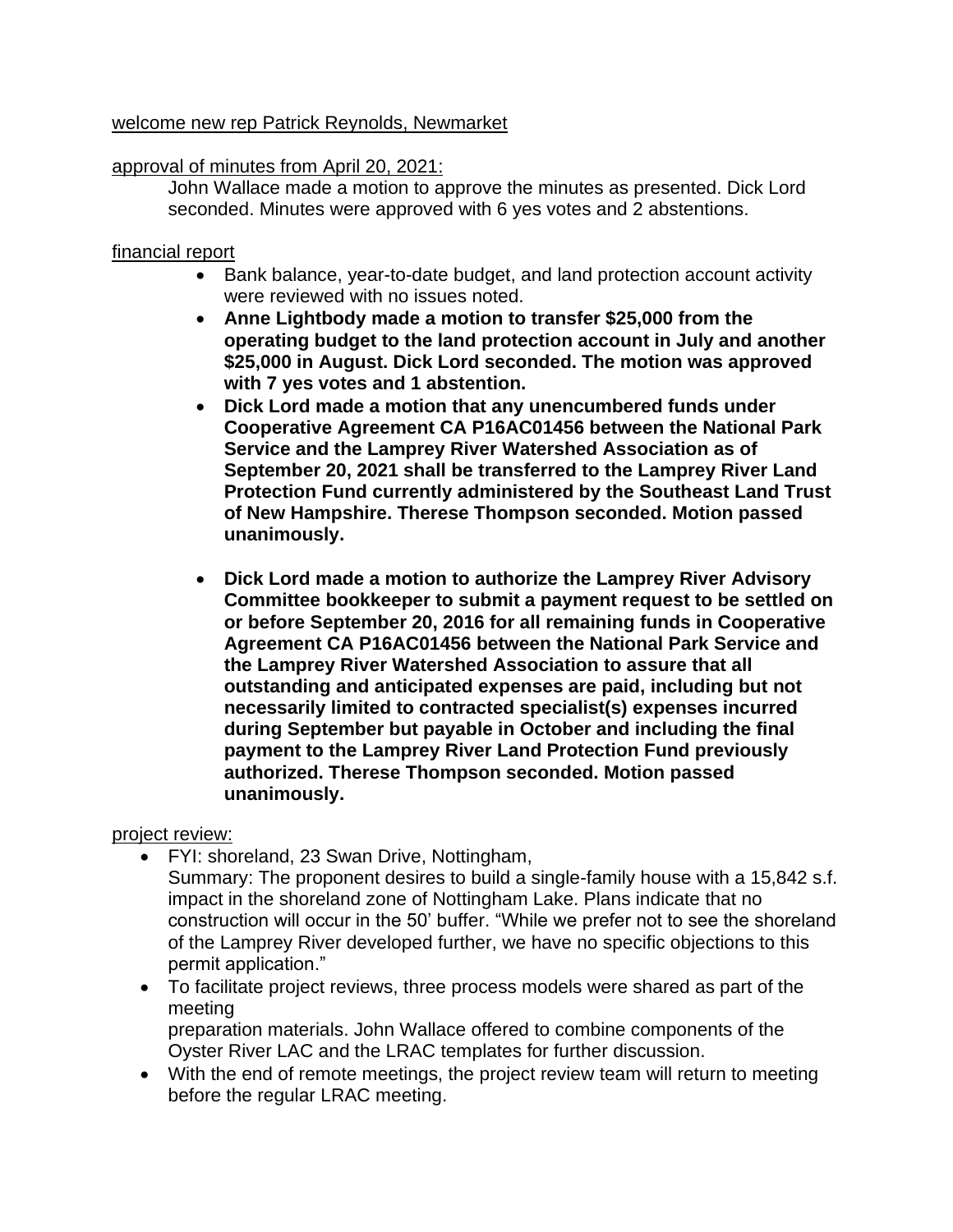# welcome new rep Patrick Reynolds, Newmarket

# approval of minutes from April 20, 2021:

John Wallace made a motion to approve the minutes as presented. Dick Lord seconded. Minutes were approved with 6 yes votes and 2 abstentions.

# financial report

- Bank balance, year-to-date budget, and land protection account activity were reviewed with no issues noted.
- **Anne Lightbody made a motion to transfer \$25,000 from the operating budget to the land protection account in July and another \$25,000 in August. Dick Lord seconded. The motion was approved with 7 yes votes and 1 abstention.**
- **Dick Lord made a motion that any unencumbered funds under Cooperative Agreement CA P16AC01456 between the National Park Service and the Lamprey River Watershed Association as of September 20, 2021 shall be transferred to the Lamprey River Land Protection Fund currently administered by the Southeast Land Trust of New Hampshire. Therese Thompson seconded. Motion passed unanimously.**
- **Dick Lord made a motion to authorize the Lamprey River Advisory Committee bookkeeper to submit a payment request to be settled on or before September 20, 2016 for all remaining funds in Cooperative Agreement CA P16AC01456 between the National Park Service and the Lamprey River Watershed Association to assure that all outstanding and anticipated expenses are paid, including but not necessarily limited to contracted specialist(s) expenses incurred during September but payable in October and including the final payment to the Lamprey River Land Protection Fund previously authorized. Therese Thompson seconded. Motion passed unanimously.**

### project review:

- FYI: shoreland, 23 Swan Drive, Nottingham,
	- Summary: The proponent desires to build a single-family house with a 15,842 s.f. impact in the shoreland zone of Nottingham Lake. Plans indicate that no construction will occur in the 50' buffer. "While we prefer not to see the shoreland of the Lamprey River developed further, we have no specific objections to this permit application."
- To facilitate project reviews, three process models were shared as part of the meeting preparation materials. John Wallace offered to combine components of the Oyster River LAC and the LRAC templates for further discussion.
- With the end of remote meetings, the project review team will return to meeting before the regular LRAC meeting.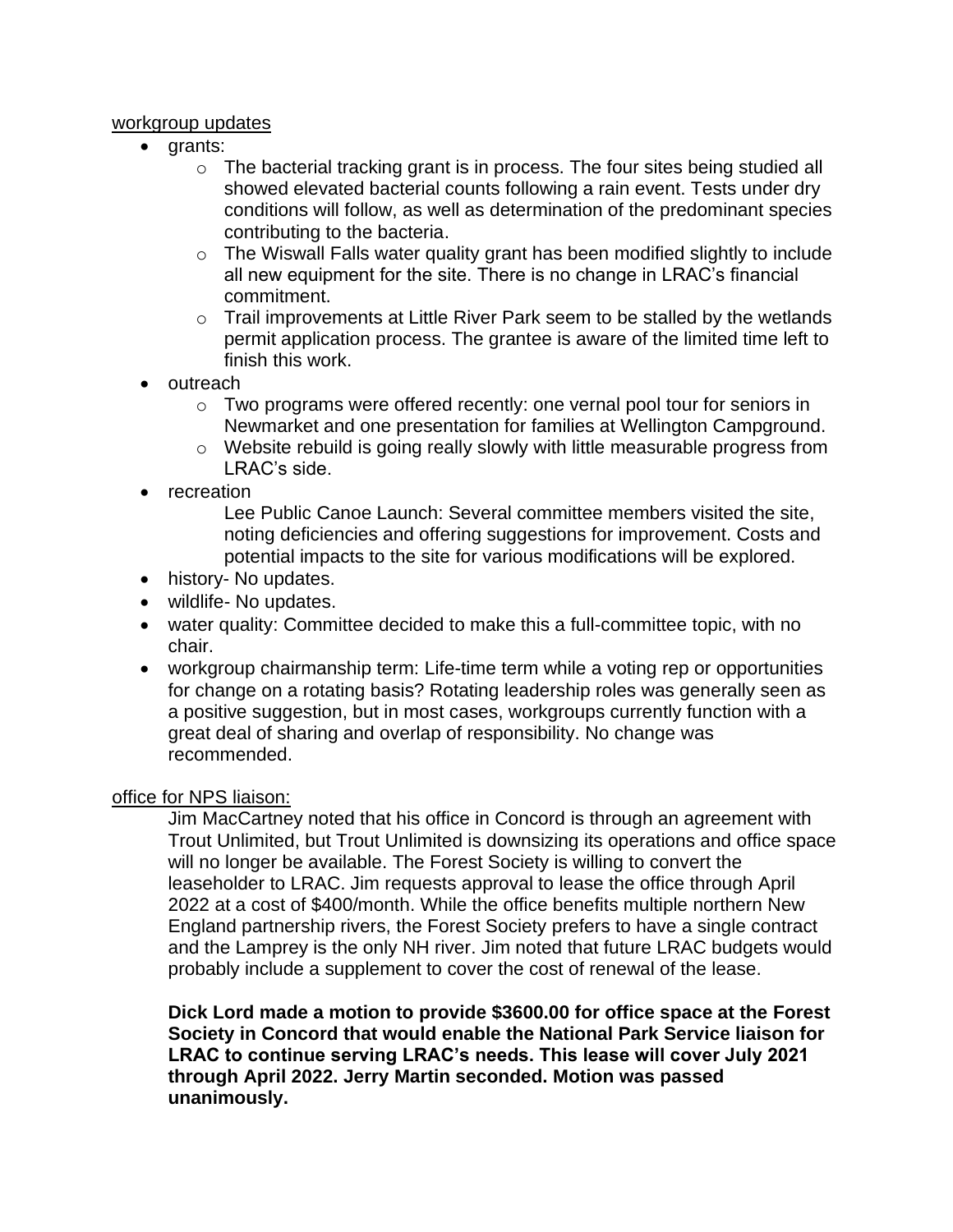#### workgroup updates

- grants:
	- $\circ$  The bacterial tracking grant is in process. The four sites being studied all showed elevated bacterial counts following a rain event. Tests under dry conditions will follow, as well as determination of the predominant species contributing to the bacteria.
	- o The Wiswall Falls water quality grant has been modified slightly to include all new equipment for the site. There is no change in LRAC's financial commitment.
	- o Trail improvements at Little River Park seem to be stalled by the wetlands permit application process. The grantee is aware of the limited time left to finish this work.
- outreach
	- o Two programs were offered recently: one vernal pool tour for seniors in Newmarket and one presentation for families at Wellington Campground.
	- o Website rebuild is going really slowly with little measurable progress from LRAC's side.
- recreation

Lee Public Canoe Launch: Several committee members visited the site, noting deficiencies and offering suggestions for improvement. Costs and potential impacts to the site for various modifications will be explored.

- history- No updates.
- wildlife- No updates.
- water quality: Committee decided to make this a full-committee topic, with no chair.
- workgroup chairmanship term: Life-time term while a voting rep or opportunities for change on a rotating basis? Rotating leadership roles was generally seen as a positive suggestion, but in most cases, workgroups currently function with a great deal of sharing and overlap of responsibility. No change was recommended.

### office for NPS liaison:

Jim MacCartney noted that his office in Concord is through an agreement with Trout Unlimited, but Trout Unlimited is downsizing its operations and office space will no longer be available. The Forest Society is willing to convert the leaseholder to LRAC. Jim requests approval to lease the office through April 2022 at a cost of \$400/month. While the office benefits multiple northern New England partnership rivers, the Forest Society prefers to have a single contract and the Lamprey is the only NH river. Jim noted that future LRAC budgets would probably include a supplement to cover the cost of renewal of the lease.

**Dick Lord made a motion to provide \$3600.00 for office space at the Forest Society in Concord that would enable the National Park Service liaison for LRAC to continue serving LRAC's needs. This lease will cover July 2021 through April 2022. Jerry Martin seconded. Motion was passed unanimously.**